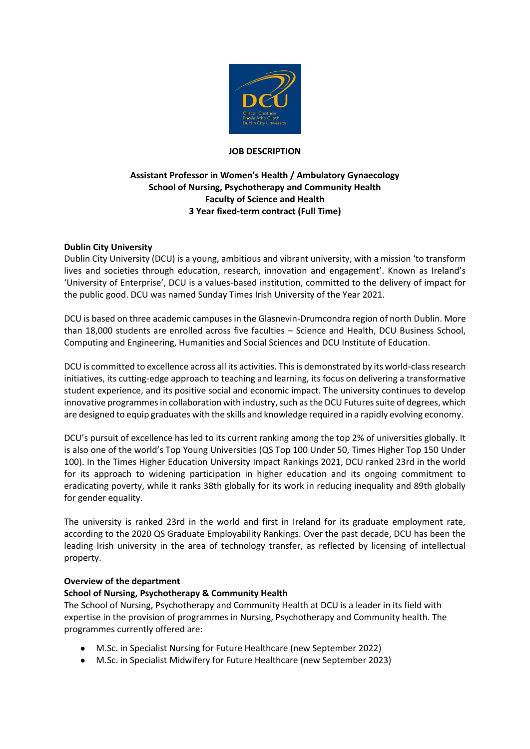

#### **JOB DESCRIPTION**

### **Assistant Professor in Women's Health / Ambulatory Gynaecology School of Nursing, Psychotherapy and Community Health Faculty of Science and Health 3 Year fixed-term contract (Full Time)**

### **Dublin City University**

Dublin City University (DCU) is a young, ambitious and vibrant university, with a mission 'to transform lives and societies through education, research, innovation and engagement'. Known as Ireland's 'University of Enterprise', DCU is a values-based institution, committed to the delivery of impact for the public good. DCU was named Sunday Times Irish University of the Year 2021.

DCU is based on three academic campuses in the Glasnevin-Drumcondra region of north Dublin. More than 18,000 students are enrolled across five faculties – Science and Health, DCU Business School, Computing and Engineering, Humanities and Social Sciences and DCU Institute of Education.

DCU is committed to excellence across all its activities. This is demonstrated by its world-class research initiatives, its cutting-edge approach to teaching and learning, its focus on delivering a transformative student experience, and its positive social and economic impact. The university continues to develop innovative programmes in collaboration with industry, such as the DCU Futures suite of degrees, which are designed to equip graduates with the skills and knowledge required in a rapidly evolving economy.

DCU's pursuit of excellence has led to its current ranking among the top 2% of universities globally. It is also one of the world's Top Young Universities (QS Top 100 Under 50, Times Higher Top 150 Under 100). In the Times Higher Education University Impact Rankings 2021, DCU ranked 23rd in the world for its approach to widening participation in higher education and its ongoing commitment to eradicating poverty, while it ranks 38th globally for its work in reducing inequality and 89th globally for gender equality.

The university is ranked 23rd in the world and first in Ireland for its graduate employment rate, according to the 2020 QS Graduate Employability Rankings. Over the past decade, DCU has been the leading Irish university in the area of technology transfer, as reflected by licensing of intellectual property.

#### **Overview of the department**

#### **School of Nursing, Psychotherapy & Community Health**

The School of Nursing, Psychotherapy and Community Health at DCU is a leader in its field with expertise in the provision of programmes in Nursing, Psychotherapy and Community health. The programmes currently offered are:

- M.Sc. in Specialist Nursing for Future Healthcare (new September 2022)
- M.Sc. in Specialist Midwifery for Future Healthcare (new September 2023)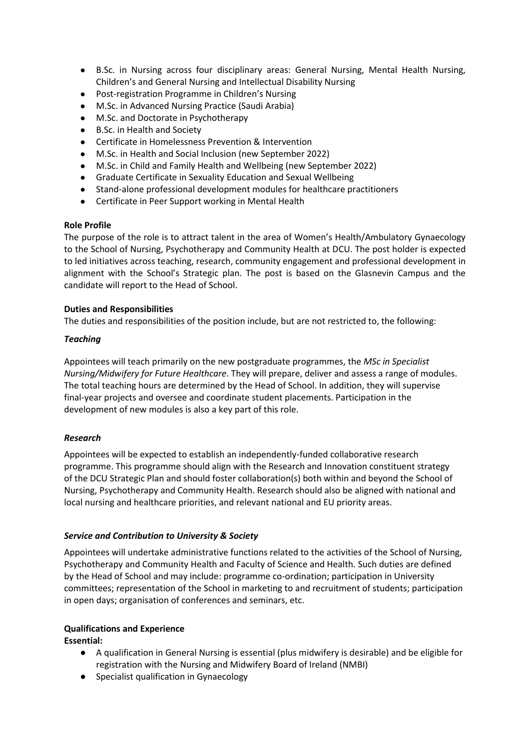- B.Sc. in Nursing across four disciplinary areas: General Nursing, Mental Health Nursing, Children's and General Nursing and Intellectual Disability Nursing
- Post-registration Programme in Children's Nursing
- M.Sc. in Advanced Nursing Practice (Saudi Arabia)
- M.Sc. and Doctorate in Psychotherapy
- **B.Sc. in Health and Society**
- Certificate in Homelessness Prevention & Intervention
- M.Sc. in Health and Social Inclusion (new September 2022)
- M.Sc. in Child and Family Health and Wellbeing (new September 2022)
- Graduate Certificate in Sexuality Education and Sexual Wellbeing
- Stand-alone professional development modules for healthcare practitioners
- Certificate in Peer Support working in Mental Health

### **Role Profile**

The purpose of the role is to attract talent in the area of Women's Health/Ambulatory Gynaecology to the School of Nursing, Psychotherapy and Community Health at DCU. The post holder is expected to led initiatives across teaching, research, community engagement and professional development in alignment with the School's Strategic plan. The post is based on the Glasnevin Campus and the candidate will report to the Head of School.

### **Duties and Responsibilities**

The duties and responsibilities of the position include, but are not restricted to, the following:

### *Teaching*

Appointees will teach primarily on the new postgraduate programmes, the *MSc in Specialist Nursing/Midwifery for Future Healthcare*. They will prepare, deliver and assess a range of modules. The total teaching hours are determined by the Head of School. In addition, they will supervise final-year projects and oversee and coordinate student placements. Participation in the development of new modules is also a key part of this role.

# *Research*

Appointees will be expected to establish an independently-funded collaborative research programme. This programme should align with the Research and Innovation constituent strategy of the DCU Strategic Plan and should foster collaboration(s) both within and beyond the School of Nursing, Psychotherapy and Community Health. Research should also be aligned with national and local nursing and healthcare priorities, and relevant national and EU priority areas.

# *Service and Contribution to University & Society*

Appointees will undertake administrative functions related to the activities of the School of Nursing, Psychotherapy and Community Health and Faculty of Science and Health. Such duties are defined by the Head of School and may include: programme co-ordination; participation in University committees; representation of the School in marketing to and recruitment of students; participation in open days; organisation of conferences and seminars, etc.

# **Qualifications and Experience**

**Essential:**

- A qualification in General Nursing is essential (plus midwifery is desirable) and be eligible for registration with the Nursing and Midwifery Board of Ireland (NMBI)
- Specialist qualification in Gynaecology